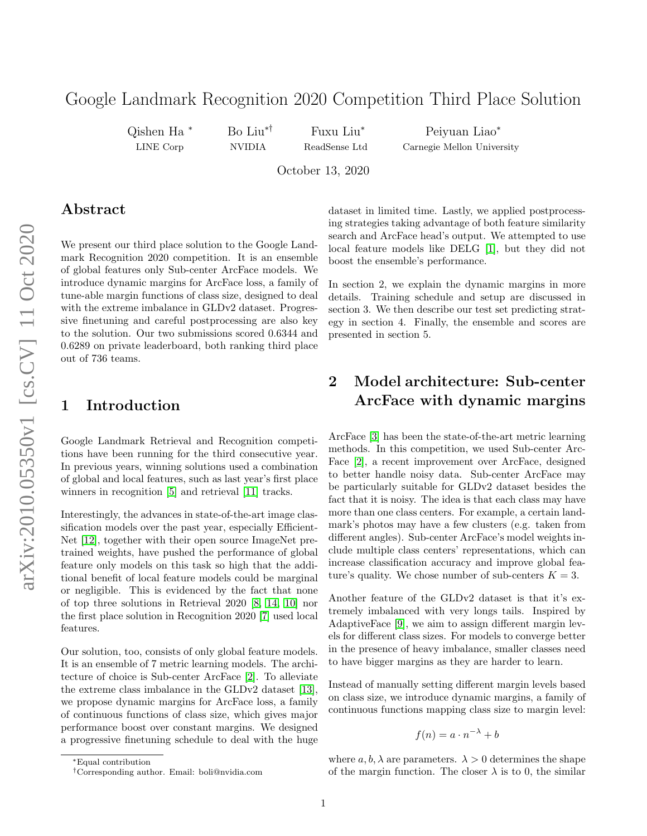# Google Landmark Recognition 2020 Competition Third Place Solution

Qishen Ha <sup>∗</sup> LINE Corp

Bo Liu∗† NVIDIA

Fuxu Liu<sup>∗</sup> ReadSense Ltd

Peiyuan Liao<sup>∗</sup> Carnegie Mellon University

October 13, 2020

#### Abstract

We present our third place solution to the Google Landmark Recognition 2020 competition. It is an ensemble of global features only Sub-center ArcFace models. We introduce dynamic margins for ArcFace loss, a family of tune-able margin functions of class size, designed to deal with the extreme imbalance in GLDv2 dataset. Progressive finetuning and careful postprocessing are also key to the solution. Our two submissions scored 0.6344 and 0.6289 on private leaderboard, both ranking third place out of 736 teams.

### 1 Introduction

Google Landmark Retrieval and Recognition competitions have been running for the third consecutive year. In previous years, winning solutions used a combination of global and local features, such as last year's first place winners in recognition [\[5\]](#page-2-0) and retrieval [\[11\]](#page-3-0) tracks.

Interestingly, the advances in state-of-the-art image classification models over the past year, especially Efficient-Net [\[12\]](#page-3-1), together with their open source ImageNet pretrained weights, have pushed the performance of global feature only models on this task so high that the additional benefit of local feature models could be marginal or negligible. This is evidenced by the fact that none of top three solutions in Retrieval 2020 [\[8,](#page-3-2) [14,](#page-3-3) [10\]](#page-3-4) nor the first place solution in Recognition 2020 [\[7\]](#page-3-5) used local features.

Our solution, too, consists of only global feature models. It is an ensemble of 7 metric learning models. The architecture of choice is Sub-center ArcFace [\[2\]](#page-2-1). To alleviate the extreme class imbalance in the GLDv2 dataset [\[13\]](#page-3-6), we propose dynamic margins for ArcFace loss, a family of continuous functions of class size, which gives major performance boost over constant margins. We designed a progressive finetuning schedule to deal with the huge dataset in limited time. Lastly, we applied postprocessing strategies taking advantage of both feature similarity search and ArcFace head's output. We attempted to use local feature models like DELG [\[1\]](#page-2-2), but they did not boost the ensemble's performance.

In section 2, we explain the dynamic margins in more details. Training schedule and setup are discussed in section 3. We then describe our test set predicting strategy in section 4. Finally, the ensemble and scores are presented in section 5.

## 2 Model architecture: Sub-center ArcFace with dynamic margins

ArcFace [\[3\]](#page-2-3) has been the state-of-the-art metric learning methods. In this competition, we used Sub-center Arc-Face [\[2\]](#page-2-1), a recent improvement over ArcFace, designed to better handle noisy data. Sub-center ArcFace may be particularly suitable for GLDv2 dataset besides the fact that it is noisy. The idea is that each class may have more than one class centers. For example, a certain landmark's photos may have a few clusters (e.g. taken from different angles). Sub-center ArcFace's model weights include multiple class centers' representations, which can increase classification accuracy and improve global feature's quality. We chose number of sub-centers  $K = 3$ .

Another feature of the GLDv2 dataset is that it's extremely imbalanced with very longs tails. Inspired by AdaptiveFace [\[9\]](#page-3-7), we aim to assign different margin levels for different class sizes. For models to converge better in the presence of heavy imbalance, smaller classes need to have bigger margins as they are harder to learn.

Instead of manually setting different margin levels based on class size, we introduce dynamic margins, a family of continuous functions mapping class size to margin level:

$$
f(n) = a \cdot n^{-\lambda} + b
$$

where  $a, b, \lambda$  are parameters.  $\lambda > 0$  determines the shape of the margin function. The closer  $\lambda$  is to 0, the similar

<sup>∗</sup>Equal contribution

<sup>†</sup>Corresponding author. Email: boli@nvidia.com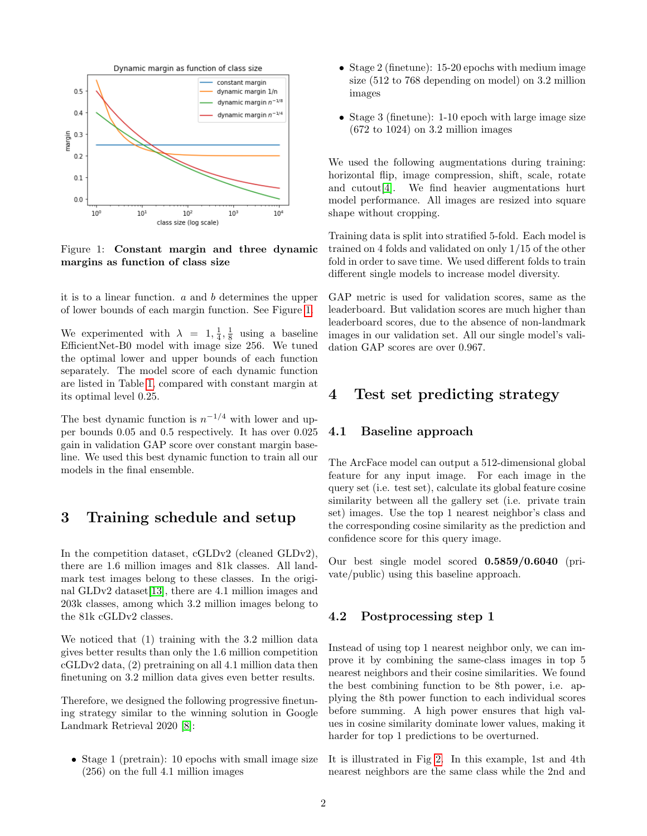

<span id="page-1-0"></span>Figure 1: Constant margin and three dynamic margins as function of class size

it is to a linear function. a and b determines the upper of lower bounds of each margin function. See Figure [1.](#page-1-0)

We experimented with  $\lambda = 1, \frac{1}{4}, \frac{1}{8}$  using a baseline EfficientNet-B0 model with image size 256. We tuned the optimal lower and upper bounds of each function separately. The model score of each dynamic function are listed in Table [1,](#page-2-4) compared with constant margin at its optimal level 0.25.

The best dynamic function is  $n^{-1/4}$  with lower and upper bounds 0.05 and 0.5 respectively. It has over 0.025 gain in validation GAP score over constant margin baseline. We used this best dynamic function to train all our models in the final ensemble.

### 3 Training schedule and setup

In the competition dataset, cGLDv2 (cleaned GLDv2), there are 1.6 million images and 81k classes. All landmark test images belong to these classes. In the original GLDv2 dataset[\[13\]](#page-3-6), there are 4.1 million images and 203k classes, among which 3.2 million images belong to the 81k cGLDv2 classes.

We noticed that (1) training with the 3.2 million data gives better results than only the 1.6 million competition cGLDv2 data, (2) pretraining on all 4.1 million data then finetuning on 3.2 million data gives even better results.

Therefore, we designed the following progressive finetuning strategy similar to the winning solution in Google Landmark Retrieval 2020 [\[8\]](#page-3-2):

• Stage 1 (pretrain): 10 epochs with small image size (256) on the full 4.1 million images

- Stage 2 (finetune): 15-20 epochs with medium image size (512 to 768 depending on model) on 3.2 million images
- Stage 3 (finetune): 1-10 epoch with large image size  $(672 \text{ to } 1024)$  on 3.2 million images

We used the following augmentations during training: horizontal flip, image compression, shift, scale, rotate and cutout[\[4\]](#page-2-5). We find heavier augmentations hurt model performance. All images are resized into square shape without cropping.

Training data is split into stratified 5-fold. Each model is trained on 4 folds and validated on only 1/15 of the other fold in order to save time. We used different folds to train different single models to increase model diversity.

GAP metric is used for validation scores, same as the leaderboard. But validation scores are much higher than leaderboard scores, due to the absence of non-landmark images in our validation set. All our single model's validation GAP scores are over 0.967.

### 4 Test set predicting strategy

#### 4.1 Baseline approach

The ArcFace model can output a 512-dimensional global feature for any input image. For each image in the query set (i.e. test set), calculate its global feature cosine similarity between all the gallery set (i.e. private train set) images. Use the top 1 nearest neighbor's class and the corresponding cosine similarity as the prediction and confidence score for this query image.

Our best single model scored 0.5859/0.6040 (private/public) using this baseline approach.

#### 4.2 Postprocessing step 1

Instead of using top 1 nearest neighbor only, we can improve it by combining the same-class images in top 5 nearest neighbors and their cosine similarities. We found the best combining function to be 8th power, i.e. applying the 8th power function to each individual scores before summing. A high power ensures that high values in cosine similarity dominate lower values, making it harder for top 1 predictions to be overturned.

It is illustrated in Fig [2.](#page-3-8) In this example, 1st and 4th nearest neighbors are the same class while the 2nd and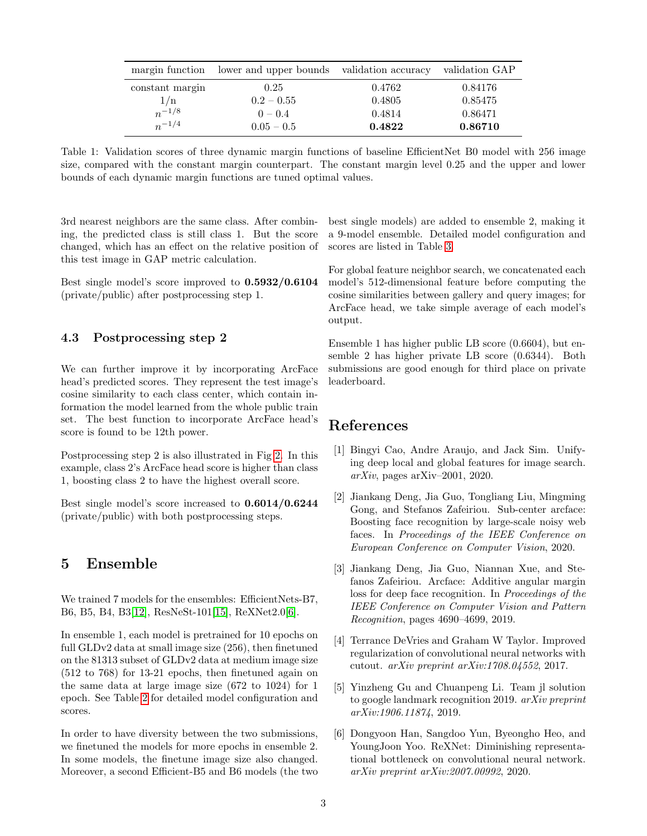|                 | margin function lower and upper bounds validation accuracy |        | validation GAP |
|-----------------|------------------------------------------------------------|--------|----------------|
| constant margin | 0.25                                                       | 0.4762 | 0.84176        |
| 1/n             | $0.2 - 0.55$                                               | 0.4805 | 0.85475        |
| $n^{-1/8}$      | $0 - 0.4$                                                  | 0.4814 | 0.86471        |
| $n^{-1/4}$      | $0.05 - 0.5$                                               | 0.4822 | 0.86710        |

<span id="page-2-4"></span>Table 1: Validation scores of three dynamic margin functions of baseline EfficientNet B0 model with 256 image size, compared with the constant margin counterpart. The constant margin level 0.25 and the upper and lower bounds of each dynamic margin functions are tuned optimal values.

3rd nearest neighbors are the same class. After combining, the predicted class is still class 1. But the score changed, which has an effect on the relative position of this test image in GAP metric calculation.

Best single model's score improved to 0.5932/0.6104 (private/public) after postprocessing step 1.

#### 4.3 Postprocessing step 2

We can further improve it by incorporating ArcFace head's predicted scores. They represent the test image's cosine similarity to each class center, which contain information the model learned from the whole public train set. The best function to incorporate ArcFace head's score is found to be 12th power.

Postprocessing step 2 is also illustrated in Fig [2.](#page-3-8) In this example, class 2's ArcFace head score is higher than class 1, boosting class 2 to have the highest overall score.

Best single model's score increased to 0.6014/0.6244 (private/public) with both postprocessing steps.

### 5 Ensemble

We trained 7 models for the ensembles: EfficientNets-B7, B6, B5, B4, B3[\[12\]](#page-3-1), ResNeSt-101[\[15\]](#page-3-9), ReXNet2.0[\[6\]](#page-2-6).

In ensemble 1, each model is pretrained for 10 epochs on full GLDv2 data at small image size (256), then finetuned on the 81313 subset of GLDv2 data at medium image size (512 to 768) for 13-21 epochs, then finetuned again on the same data at large image size (672 to 1024) for 1 epoch. See Table [2](#page-3-10) for detailed model configuration and scores.

In order to have diversity between the two submissions, we finetuned the models for more epochs in ensemble 2. In some models, the finetune image size also changed. Moreover, a second Efficient-B5 and B6 models (the two best single models) are added to ensemble 2, making it a 9-model ensemble. Detailed model configuration and scores are listed in Table [3.](#page-4-0)

For global feature neighbor search, we concatenated each model's 512-dimensional feature before computing the cosine similarities between gallery and query images; for ArcFace head, we take simple average of each model's output.

Ensemble 1 has higher public LB score (0.6604), but ensemble 2 has higher private LB score (0.6344). Both submissions are good enough for third place on private leaderboard.

### References

- <span id="page-2-2"></span>[1] Bingyi Cao, Andre Araujo, and Jack Sim. Unifying deep local and global features for image search.  $arXiv$ , pages arXiv–2001, 2020.
- <span id="page-2-1"></span>[2] Jiankang Deng, Jia Guo, Tongliang Liu, Mingming Gong, and Stefanos Zafeiriou. Sub-center arcface: Boosting face recognition by large-scale noisy web faces. In Proceedings of the IEEE Conference on European Conference on Computer Vision, 2020.
- <span id="page-2-3"></span>[3] Jiankang Deng, Jia Guo, Niannan Xue, and Stefanos Zafeiriou. Arcface: Additive angular margin loss for deep face recognition. In Proceedings of the IEEE Conference on Computer Vision and Pattern Recognition, pages 4690–4699, 2019.
- <span id="page-2-5"></span>[4] Terrance DeVries and Graham W Taylor. Improved regularization of convolutional neural networks with cutout. arXiv preprint arXiv:1708.04552, 2017.
- <span id="page-2-0"></span>[5] Yinzheng Gu and Chuanpeng Li. Team jl solution to google landmark recognition 2019. arXiv preprint arXiv:1906.11874, 2019.
- <span id="page-2-6"></span>[6] Dongyoon Han, Sangdoo Yun, Byeongho Heo, and YoungJoon Yoo. ReXNet: Diminishing representational bottleneck on convolutional neural network. arXiv preprint arXiv:2007.00992, 2020.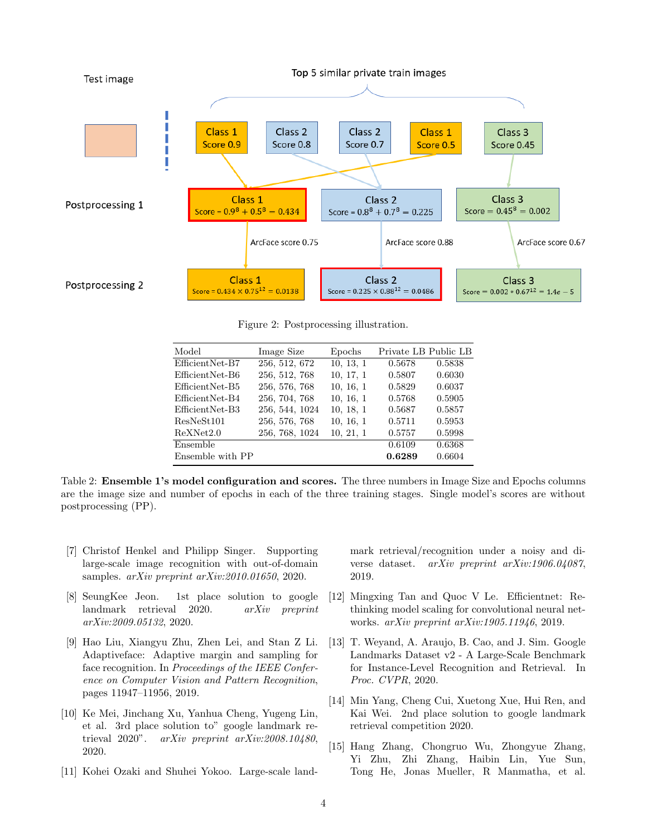

<span id="page-3-8"></span>Figure 2: Postprocessing illustration.

| Model            | Image Size     | Epochs    | Private LB Public LB |        |
|------------------|----------------|-----------|----------------------|--------|
| EfficientNet-B7  | 256, 512, 672  | 10, 13, 1 | 0.5678               | 0.5838 |
| EfficientNet-B6  | 256, 512, 768  | 10, 17, 1 | 0.5807               | 0.6030 |
| EfficientNet-B5  | 256, 576, 768  | 10, 16, 1 | 0.5829               | 0.6037 |
| EfficientNet-B4  | 256, 704, 768  | 10, 16, 1 | 0.5768               | 0.5905 |
| EfficientNet-B3  | 256, 544, 1024 | 10, 18, 1 | 0.5687               | 0.5857 |
| ResNeSt101       | 256, 576, 768  | 10, 16, 1 | 0.5711               | 0.5953 |
| ReXNet2.0        | 256, 768, 1024 | 10, 21, 1 | 0.5757               | 0.5998 |
| Ensemble         |                |           | 0.6109               | 0.6368 |
| Ensemble with PP |                |           | 0.6289               | 0.6604 |

<span id="page-3-10"></span>Table 2: Ensemble 1's model configuration and scores. The three numbers in Image Size and Epochs columns are the image size and number of epochs in each of the three training stages. Single model's scores are without postprocessing (PP).

- <span id="page-3-5"></span>[7] Christof Henkel and Philipp Singer. Supporting large-scale image recognition with out-of-domain samples. arXiv preprint arXiv:2010.01650, 2020.
- <span id="page-3-2"></span>[8] SeungKee Jeon. 1st place solution to google landmark retrieval 2020. arXiv preprint arXiv:2009.05132, 2020.
- <span id="page-3-7"></span>[9] Hao Liu, Xiangyu Zhu, Zhen Lei, and Stan Z Li. Adaptiveface: Adaptive margin and sampling for face recognition. In Proceedings of the IEEE Conference on Computer Vision and Pattern Recognition, pages 11947–11956, 2019.
- <span id="page-3-4"></span>[10] Ke Mei, Jinchang Xu, Yanhua Cheng, Yugeng Lin, et al. 3rd place solution to" google landmark retrieval 2020". arXiv preprint arXiv:2008.10480, 2020.
- <span id="page-3-0"></span>[11] Kohei Ozaki and Shuhei Yokoo. Large-scale land-

mark retrieval/recognition under a noisy and diverse dataset. arXiv preprint arXiv:1906.04087, 2019.

- <span id="page-3-1"></span>[12] Mingxing Tan and Quoc V Le. Efficientnet: Rethinking model scaling for convolutional neural networks. arXiv preprint arXiv:1905.11946, 2019.
- <span id="page-3-6"></span>[13] T. Weyand, A. Araujo, B. Cao, and J. Sim. Google Landmarks Dataset v2 - A Large-Scale Benchmark for Instance-Level Recognition and Retrieval. In Proc. CVPR, 2020.
- <span id="page-3-3"></span>[14] Min Yang, Cheng Cui, Xuetong Xue, Hui Ren, and Kai Wei. 2nd place solution to google landmark retrieval competition 2020.
- <span id="page-3-9"></span>[15] Hang Zhang, Chongruo Wu, Zhongyue Zhang, Yi Zhu, Zhi Zhang, Haibin Lin, Yue Sun, Tong He, Jonas Mueller, R Manmatha, et al.